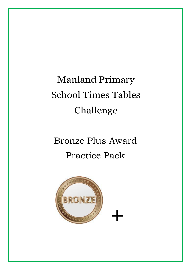# Manland Primary School Times Tables Challenge

## Bronze Plus Award Practice Pack

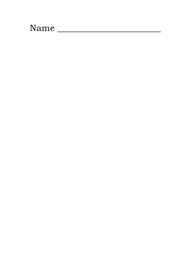## Name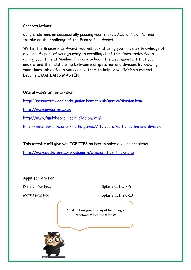#### Congratulations!

Congratulations on successfully passing your Bronze Award! Now it's time to take on the challenge of the Bronze Plus Award.

Within the Bronze Plus Award, you will look at using your 'inverse' knowledge of division. As part of your journey to recalling all of the times tables facts during your time at Manland Primary School, it is also important that you understand the relationship between multiplication and division. By knowing your times tables facts you can use them to help solve division sums and become a MANLAND MASTER!

Useful websites for division: <http://resources.woodlands-junior.kent.sch.uk/maths/division.htm> [http://www.mymaths.co.uk](http://www.mymaths.co.uk/) <http://www.fun4thebrain.com/division.html> <http://www.topmarks.co.uk/maths-games/7-11-years/multiplication-and-division>

This website will give you TOP TIPS on how to solve division problems

[http://www.ducksters.com/kidsmath/division\\_tips\\_tricks.php](http://www.ducksters.com/kidsmath/division_tips_tricks.php)

#### **Apps for division:**

Division for kids Splash maths 7-9

Maths practice Splash maths 8-10

**Good luck on your journey of becoming a 'Manland Master of Maths!'**

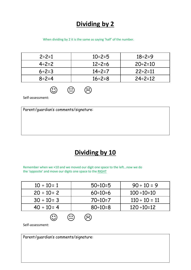#### **Dividing by 2**

When dividing by 2 it is the same as saying 'half' of the number.

| $2 \div 2 = 1$ | $10 \div 2 = 5$ | $18 \div 2 = 9$  |
|----------------|-----------------|------------------|
| $4 \div 2 = 2$ | $12 \div 2 = 6$ | $20 \div 2 = 10$ |
| $6 \div 2 = 3$ | $14 \div 2 = 7$ | $22 \div 2 = 11$ |
| $8 \div 2 = 4$ | $16 \div 2 = 8$ | $24 \div 2 = 12$ |



Self-assessment:

Parent/guardian's comments/signature:

#### **Dividing by 10**

Remember when we ×10 and we moved our digit one space to the left…now we do the 'opposite' and move our digits one space to the RIGHT

 $\bigoplus$   $\bigoplus$ 

| $10 \div 10 = 1$ | $50 \div 10 = 5$ | $90 \div 10 = 9$   |
|------------------|------------------|--------------------|
| $20 \div 10 = 2$ | $60 \div 10 = 6$ | $100 \div 10 = 10$ |
| $30 \div 10 = 3$ | $70 \div 10 = 7$ | $110 \div 10 = 11$ |
| $40 \div 10 = 4$ | $80 \div 10 = 8$ | $120 \div 10 = 12$ |

Self-assessment:

Parent/guardian's comments/signature: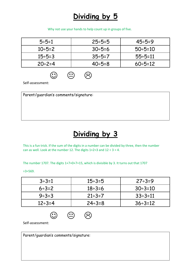### **Dividing by 5**

Why not use your hands to help count up in groups of five.

| $5 \div 5 = 1$  | $25 \div 5 = 5$ | $45 \div 5 = 9$  |
|-----------------|-----------------|------------------|
| $10 \div 5 = 2$ | $30 \div 5 = 6$ | $50 \div 5 = 10$ |
| $15 \div 5 = 3$ | $35 \div 5 = 7$ | $55 - 5 = 11$    |
| $20 \div 2 = 4$ | $40 \div 5 = 8$ | $60 \div 5 = 12$ |

 $\odot$   $\odot$   $\odot$ 

Self-assessment:

Parent/guardian's comments/signature:

### **Dividing by 3**

This is a fun trick. If the sum of the digits in a number can be divided by three, then the number can as well. Look at the number 12. The digits  $1+2=3$  and  $12 \div 3 = 4$ .

The number 1707. The digits 1+7+0+7=15, which is divisible by 3. It turns out that 1707

÷3=569.

| $3 \div 3 = 1$  | $15 \div 3 = 5$ | $27 \div 3 = 9$  |
|-----------------|-----------------|------------------|
| $6 \div 3 = 2$  | $18 \div 3 = 6$ | $30 \div 3 = 10$ |
| $9 \div 3 = 3$  | $21 \div 3 = 7$ | $33 \div 3 = 11$ |
| $12 \div 3 = 4$ | $24 \div 3 = 8$ | $36 \div 3 = 12$ |



Self-assessment:

Parent/guardian's comments/signature: